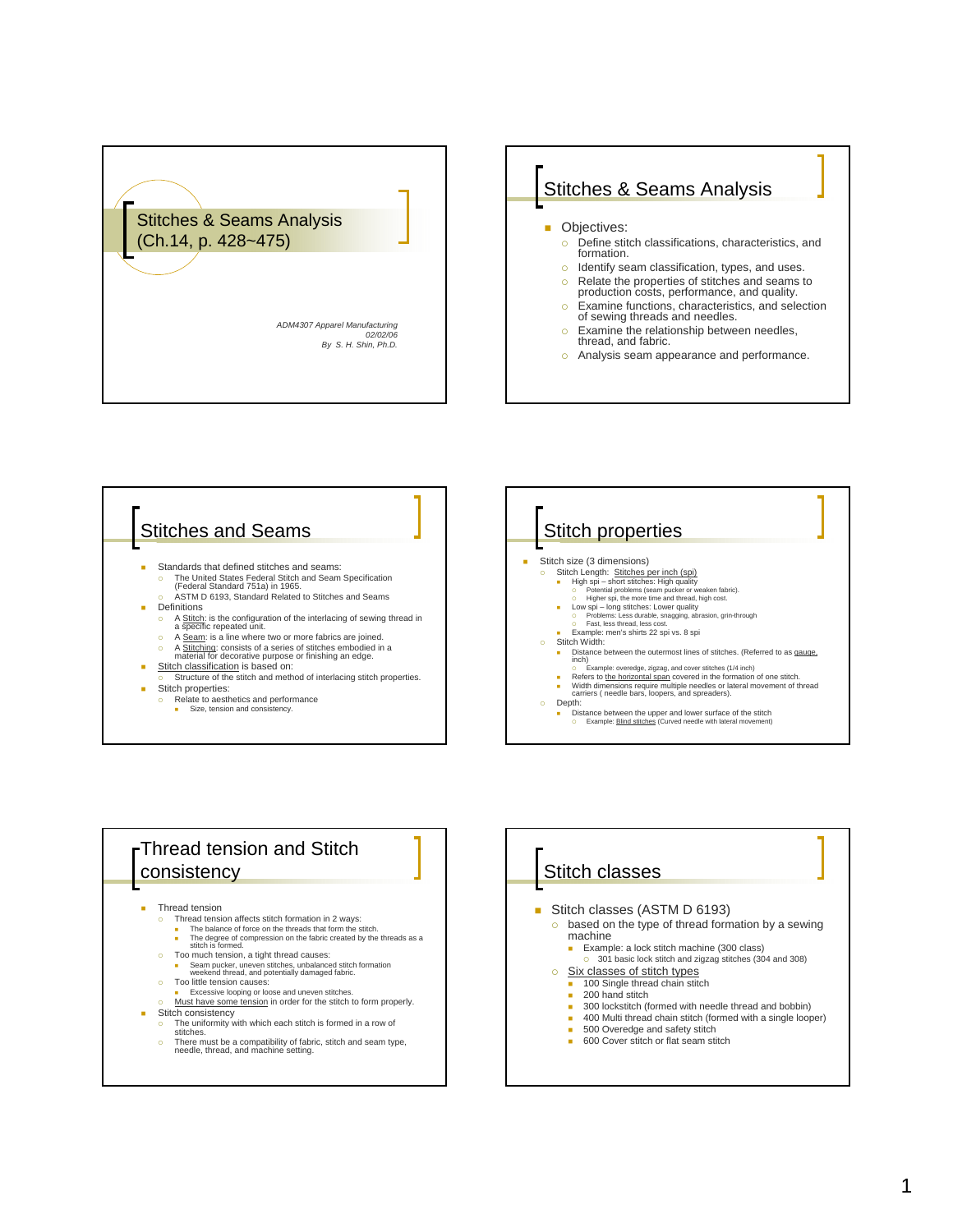







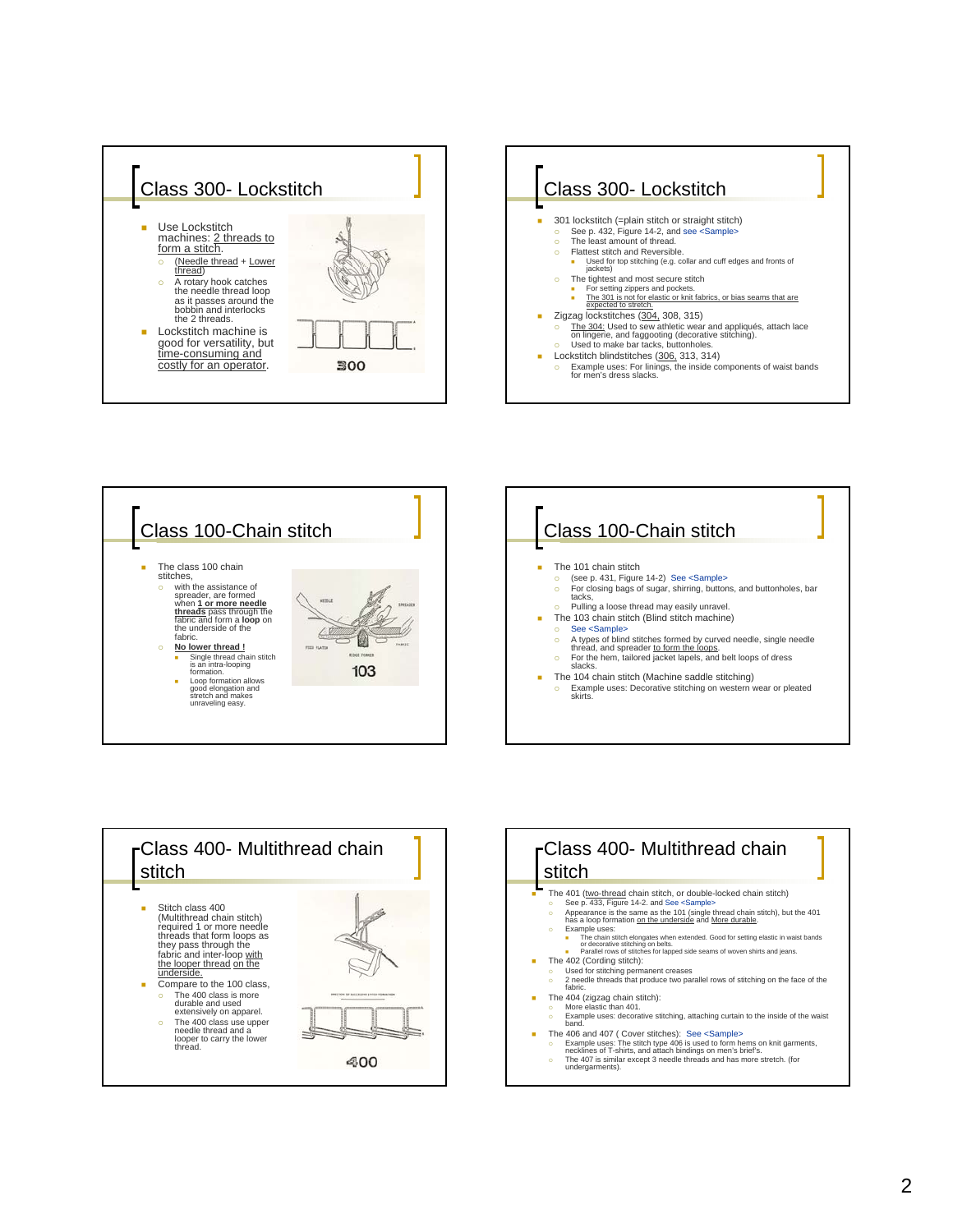







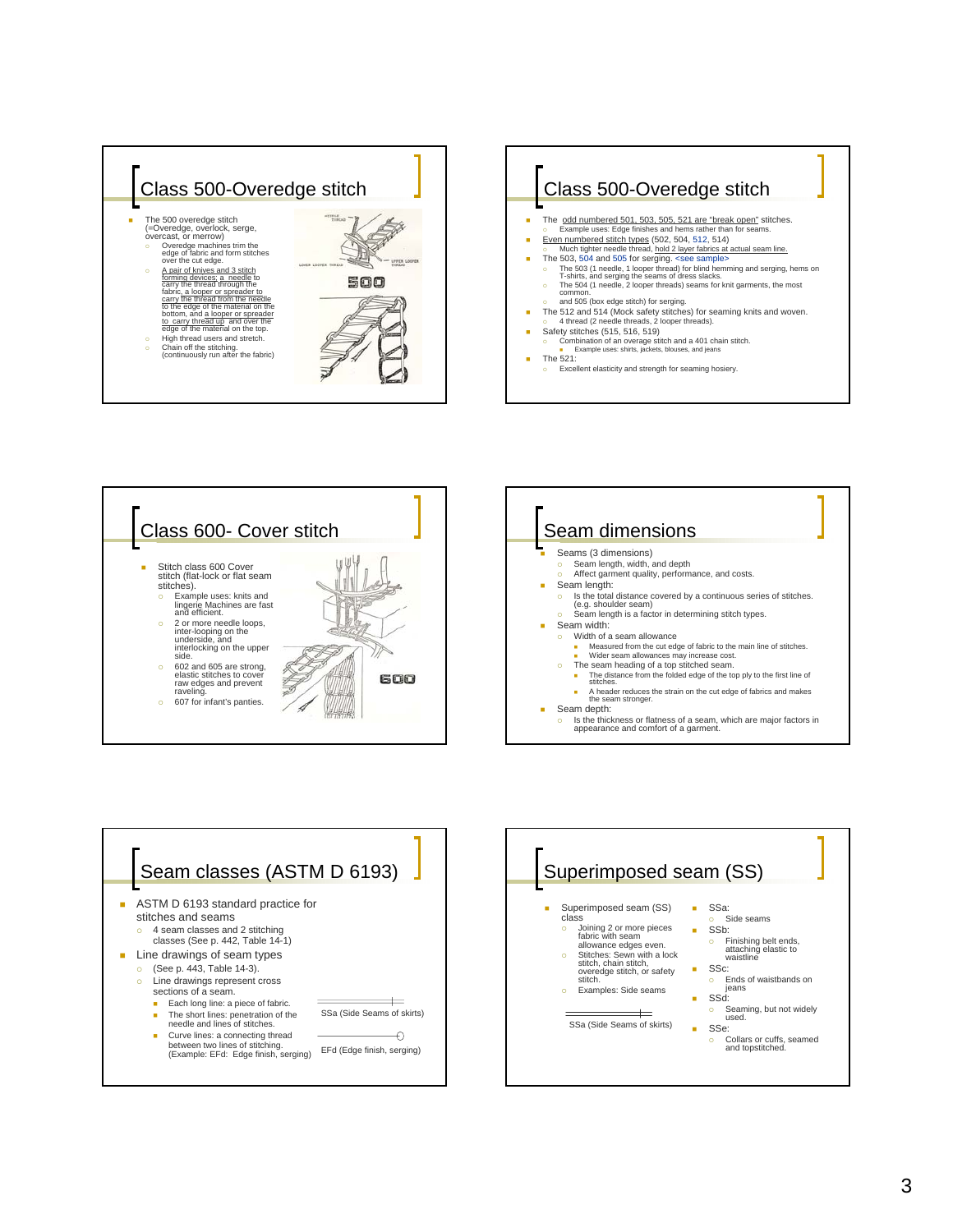









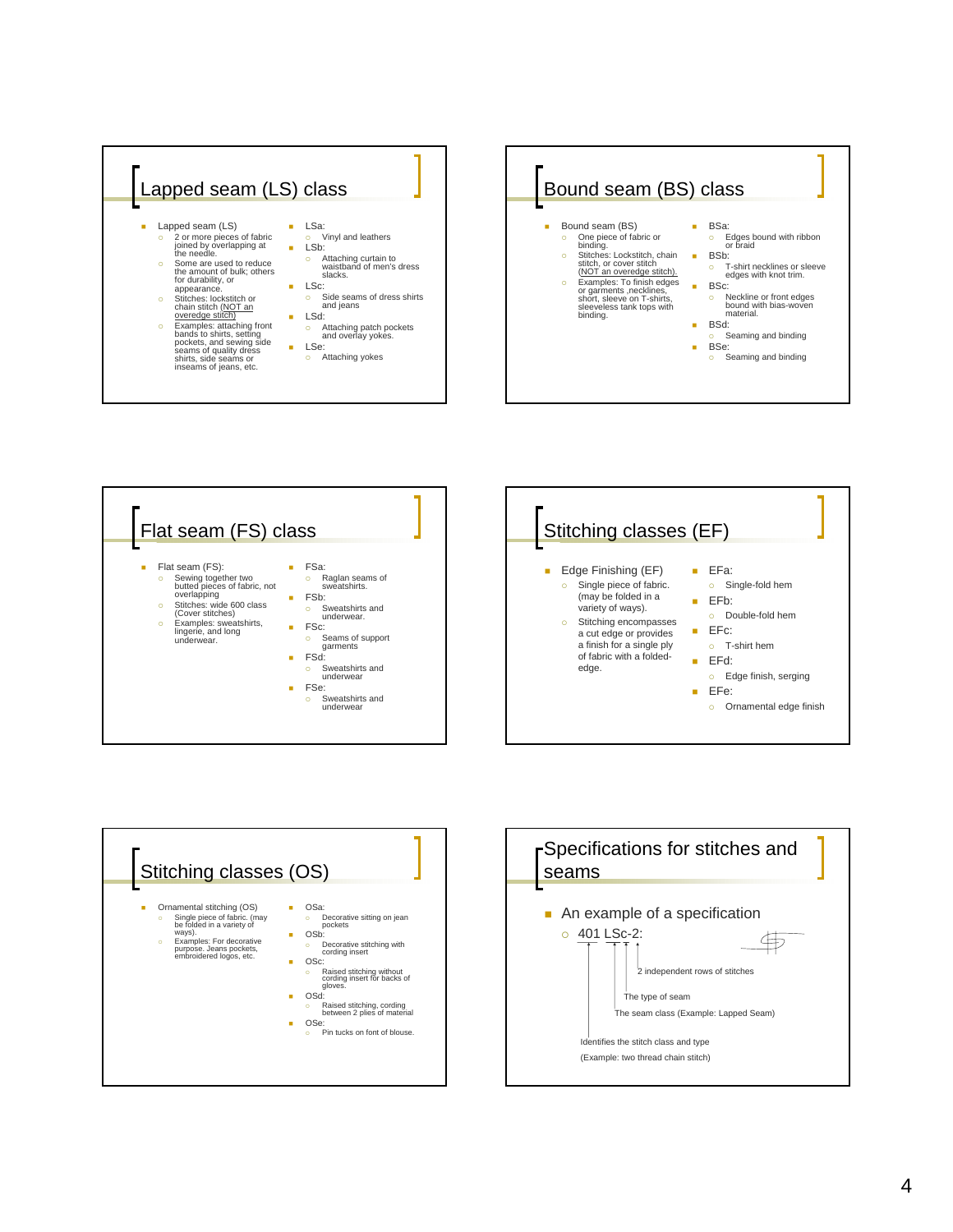









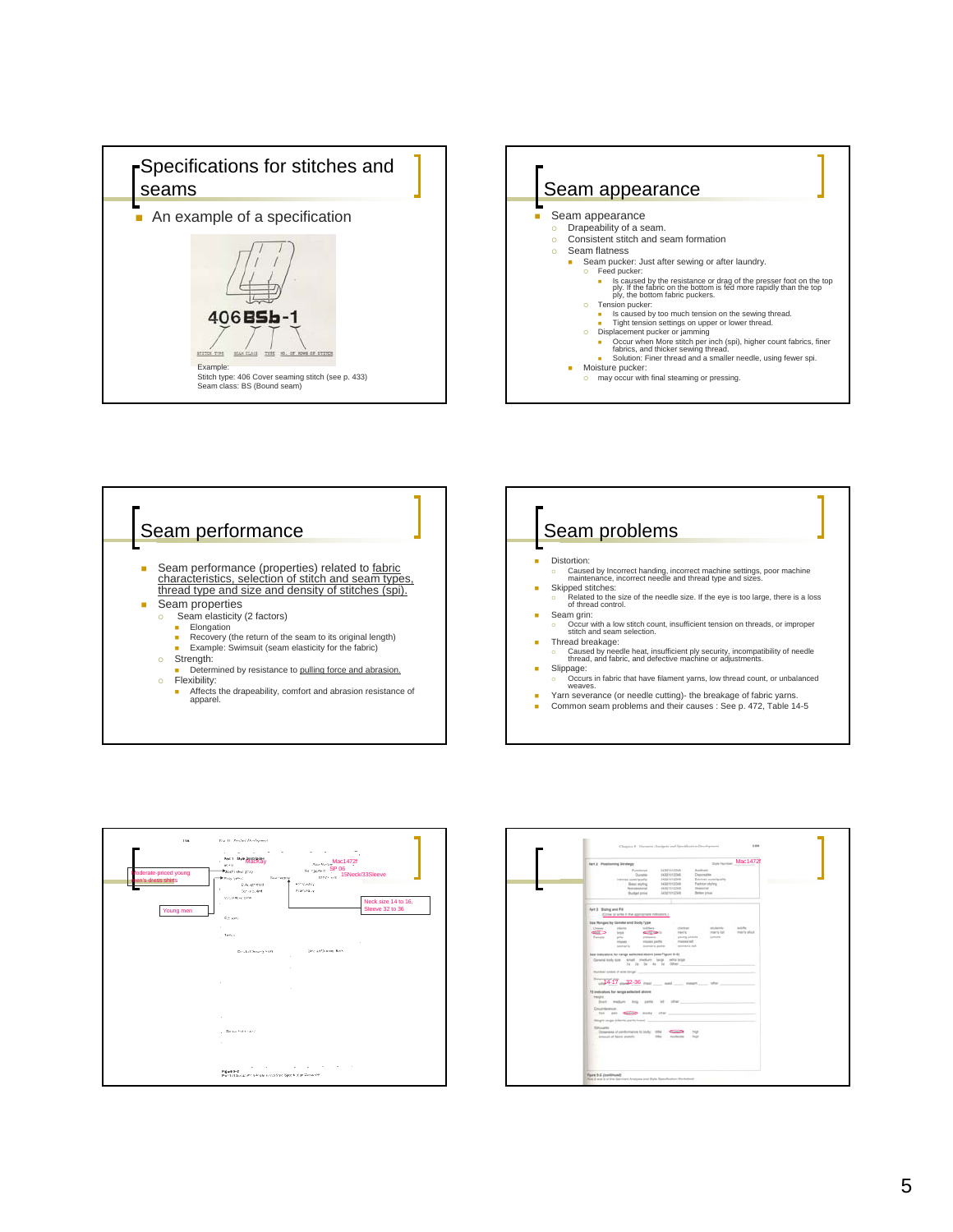